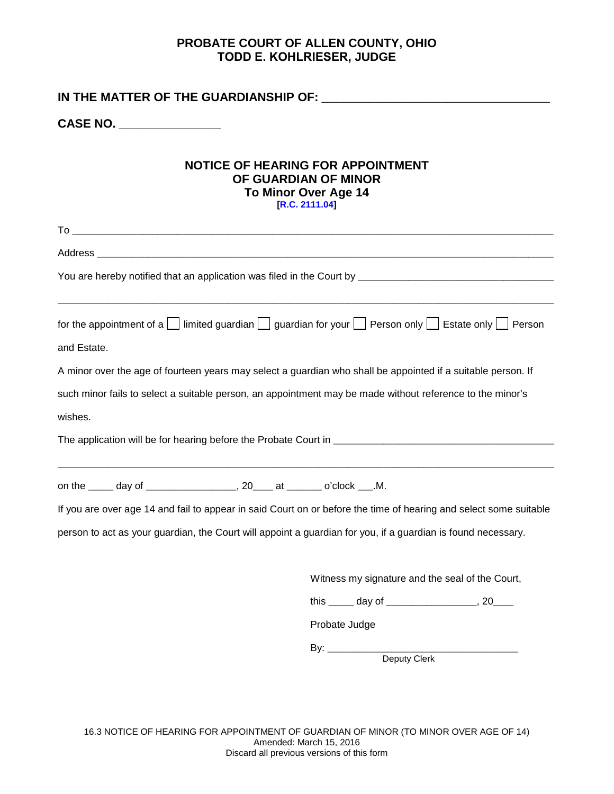## **PROBATE COURT OF ALLEN COUNTY, OHIO TODD E. KOHLRIESER, JUDGE**

| CASE NO. ________________                                                                                  |                                                                                                                               |  |  |  |  |  |  |
|------------------------------------------------------------------------------------------------------------|-------------------------------------------------------------------------------------------------------------------------------|--|--|--|--|--|--|
| <b>NOTICE OF HEARING FOR APPOINTMENT</b><br>OF GUARDIAN OF MINOR<br>To Minor Over Age 14<br>[R.C. 2111.04] |                                                                                                                               |  |  |  |  |  |  |
|                                                                                                            |                                                                                                                               |  |  |  |  |  |  |
|                                                                                                            |                                                                                                                               |  |  |  |  |  |  |
|                                                                                                            |                                                                                                                               |  |  |  |  |  |  |
| and Estate.                                                                                                | for the appointment of a $\Box$ limited guardian $\Box$ guardian for your $\Box$ Person only $\Box$ Estate only $\Box$ Person |  |  |  |  |  |  |
|                                                                                                            | A minor over the age of fourteen years may select a guardian who shall be appointed if a suitable person. If                  |  |  |  |  |  |  |
|                                                                                                            | such minor fails to select a suitable person, an appointment may be made without reference to the minor's                     |  |  |  |  |  |  |
| wishes.                                                                                                    |                                                                                                                               |  |  |  |  |  |  |
|                                                                                                            |                                                                                                                               |  |  |  |  |  |  |
| on the $\qquad \qquad$ day of $\qquad \qquad$ 20 at $\qquad \qquad$ o'clock M.                             |                                                                                                                               |  |  |  |  |  |  |
|                                                                                                            | If you are over age 14 and fail to appear in said Court on or before the time of hearing and select some suitable             |  |  |  |  |  |  |
|                                                                                                            | person to act as your guardian, the Court will appoint a guardian for you, if a guardian is found necessary.                  |  |  |  |  |  |  |
|                                                                                                            | Witness my signature and the seal of the Court,                                                                               |  |  |  |  |  |  |
|                                                                                                            |                                                                                                                               |  |  |  |  |  |  |
|                                                                                                            | Probate Judge                                                                                                                 |  |  |  |  |  |  |
|                                                                                                            |                                                                                                                               |  |  |  |  |  |  |

Deputy Clerk